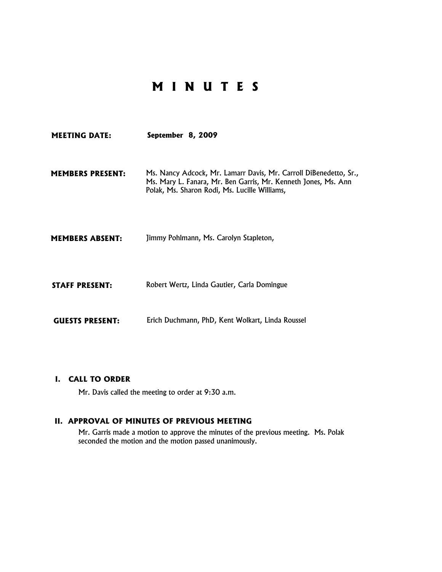# **M I N U T E S**

| <b>MEETING DATE:</b>    | September 8, 2009                                                                                                                                                                    |
|-------------------------|--------------------------------------------------------------------------------------------------------------------------------------------------------------------------------------|
| <b>MEMBERS PRESENT:</b> | Ms. Nancy Adcock, Mr. Lamarr Davis, Mr. Carroll DiBenedetto, Sr.,<br>Ms. Mary L. Fanara, Mr. Ben Garris, Mr. Kenneth Jones, Ms. Ann<br>Polak, Ms. Sharon Rodi, Ms. Lucille Williams, |
| <b>MEMBERS ABSENT:</b>  | Jimmy Pohlmann, Ms. Carolyn Stapleton,                                                                                                                                               |
| <b>STAFF PRESENT:</b>   | Robert Wertz, Linda Gautier, Carla Domingue                                                                                                                                          |
| <b>GUESTS PRESENT:</b>  | Erich Duchmann, PhD, Kent Wolkart, Linda Roussel                                                                                                                                     |

## **I. CALL TO ORDER**

Mr. Davis called the meeting to order at 9:30 a.m.

## **II. APPROVAL OF MINUTES OF PREVIOUS MEETING**

Mr. Garris made a motion to approve the minutes of the previous meeting. Ms. Polak seconded the motion and the motion passed unanimously.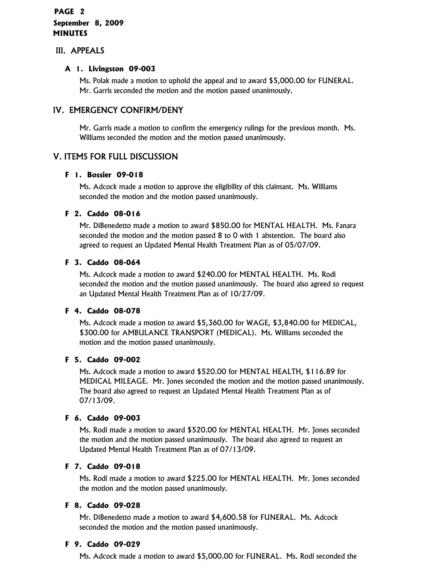## **PAGE 2 September 8, 2009 MINUTES**

## III. APPEALS

## **A 1. Livingston 09-003**

Ms. Polak made a motion to uphold the appeal and to award \$5,000.00 for FUNERAL. Mr. Garris seconded the motion and the motion passed unanimously.

## IV. EMERGENCY CONFIRM/DENY

Mr. Garris made a motion to confirm the emergency rulings for the previous month. Ms. Williams seconded the motion and the motion passed unanimously.

## V. ITEMS FOR FULL DISCUSSION

## **F 1. Bossier 09-018**

Ms. Adcock made a motion to approve the eligibility of this claimant. Ms. Williams seconded the motion and the motion passed unanimously.

## **F 2. Caddo 08-016**

Mr. DiBenedetto made a motion to award \$850.00 for MENTAL HEALTH. Ms. Fanara seconded the motion and the motion passed 8 to 0 with 1 abstention. The board also agreed to request an Updated Mental Health Treatment Plan as of 05/07/09.

## **F 3. Caddo 08-064**

Ms. Adcock made a motion to award \$240.00 for MENTAL HEALTH. Ms. Rodi seconded the motion and the motion passed unanimously. The board also agreed to request an Updated Mental Health Treatment Plan as of 10/27/09.

## **F 4. Caddo 08-078**

Ms. Adcock made a motion to award \$5,360.00 for WAGE, \$3,840.00 for MEDICAL, \$300.00 for AMBULANCE TRANSPORT (MEDICAL). Ms. Williams seconded the motion and the motion passed unanimously.

## **F 5. Caddo 09-002**

Ms. Adcock made a motion to award \$520.00 for MENTAL HEALTH, \$116.89 for MEDICAL MILEAGE. Mr. Jones seconded the motion and the motion passed unanimously. The board also agreed to request an Updated Mental Health Treatment Plan as of 07/13/09.

## **F 6. Caddo 09-003**

Ms. Rodi made a motion to award \$520.00 for MENTAL HEALTH. Mr. Jones seconded the motion and the motion passed unanimously. The board also agreed to request an Updated Mental Health Treatment Plan as of 07/13/09.

## **F 7. Caddo 09-018**

Ms. Rodi made a motion to award \$225.00 for MENTAL HEALTH. Mr. Jones seconded the motion and the motion passed unanimously.

## **F 8. Caddo 09-028**

Mr. DiBenedetto made a motion to award \$4,600.58 for FUNERAL. Ms. Adcock seconded the motion and the motion passed unanimously.

## **F 9. Caddo 09-029**

Ms. Adcock made a motion to award \$5,000.00 for FUNERAL. Ms. Rodi seconded the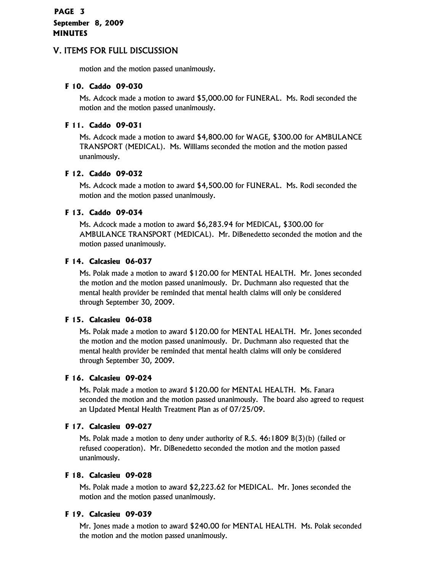## **PAGE 3 September 8, 2009 MINUTES**

## V. ITEMS FOR FULL DISCUSSION

motion and the motion passed unanimously.

## **F 10. Caddo 09-030**

Ms. Adcock made a motion to award \$5,000.00 for FUNERAL. Ms. Rodi seconded the motion and the motion passed unanimously.

## **F 11. Caddo 09-031**

Ms. Adcock made a motion to award \$4,800.00 for WAGE, \$300.00 for AMBULANCE TRANSPORT (MEDICAL). Ms. Williams seconded the motion and the motion passed unanimously.

## **F 12. Caddo 09-032**

Ms. Adcock made a motion to award \$4,500.00 for FUNERAL. Ms. Rodi seconded the motion and the motion passed unanimously.

## **F 13. Caddo 09-034**

Ms. Adcock made a motion to award \$6,283.94 for MEDICAL, \$300.00 for AMBULANCE TRANSPORT (MEDICAL). Mr. DiBenedetto seconded the motion and the motion passed unanimously.

## **F 14. Calcasieu 06-037**

Ms. Polak made a motion to award \$120.00 for MENTAL HEALTH. Mr. Jones seconded the motion and the motion passed unanimously. Dr. Duchmann also requested that the mental health provider be reminded that mental health claims will only be considered through September 30, 2009.

## **F 15. Calcasieu 06-038**

Ms. Polak made a motion to award \$120.00 for MENTAL HEALTH. Mr. Jones seconded the motion and the motion passed unanimously. Dr. Duchmann also requested that the mental health provider be reminded that mental health claims will only be considered through September 30, 2009.

## **F 16. Calcasieu 09-024**

Ms. Polak made a motion to award \$120.00 for MENTAL HEALTH. Ms. Fanara seconded the motion and the motion passed unanimously. The board also agreed to request an Updated Mental Health Treatment Plan as of 07/25/09.

## **F 17. Calcasieu 09-027**

Ms. Polak made a motion to deny under authority of R.S. 46:1809 B(3)(b) (failed or refused cooperation). Mr. DiBenedetto seconded the motion and the motion passed unanimously.

## **F 18. Calcasieu 09-028**

Ms. Polak made a motion to award \$2,223.62 for MEDICAL. Mr. Jones seconded the motion and the motion passed unanimously.

## **F 19. Calcasieu 09-039**

Mr. Jones made a motion to award \$240.00 for MENTAL HEALTH. Ms. Polak seconded the motion and the motion passed unanimously.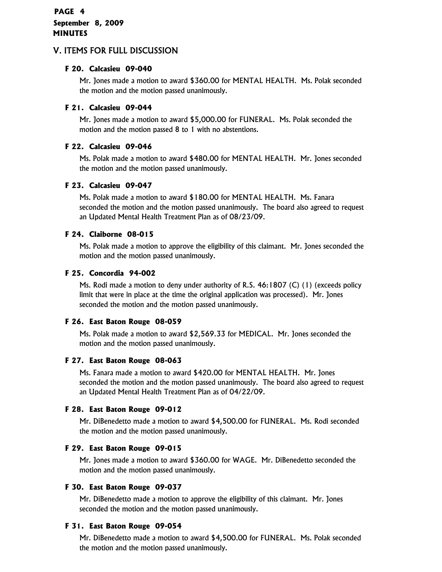## **PAGE 4 September 8, 2009 MINUTES**

## V. ITEMS FOR FULL DISCUSSION

## **F 20. Calcasieu 09-040**

Mr. Jones made a motion to award \$360.00 for MENTAL HEALTH. Ms. Polak seconded the motion and the motion passed unanimously.

## **F 21. Calcasieu 09-044**

Mr. Jones made a motion to award \$5,000.00 for FUNERAL. Ms. Polak seconded the motion and the motion passed 8 to 1 with no abstentions.

## **F 22. Calcasieu 09-046**

Ms. Polak made a motion to award \$480.00 for MENTAL HEALTH. Mr. Jones seconded the motion and the motion passed unanimously.

## **F 23. Calcasieu 09-047**

Ms. Polak made a motion to award \$180.00 for MENTAL HEALTH. Ms. Fanara seconded the motion and the motion passed unanimously. The board also agreed to request an Updated Mental Health Treatment Plan as of 08/23/09.

## **F 24. Claiborne 08-015**

Ms. Polak made a motion to approve the eligibility of this claimant. Mr. Jones seconded the motion and the motion passed unanimously.

## **F 25. Concordia 94-002**

Ms. Rodi made a motion to deny under authority of R.S. 46:1807 (C) (1) (exceeds policy limit that were in place at the time the original application was processed). Mr. Jones seconded the motion and the motion passed unanimously.

## **F 26. East Baton Rouge 08-059**

Ms. Polak made a motion to award \$2,569.33 for MEDICAL. Mr. Jones seconded the motion and the motion passed unanimously.

## **F 27. East Baton Rouge 08-063**

Ms. Fanara made a motion to award \$420.00 for MENTAL HEALTH. Mr. Jones seconded the motion and the motion passed unanimously. The board also agreed to request an Updated Mental Health Treatment Plan as of 04/22/09.

## **F 28. East Baton Rouge 09-012**

Mr. DiBenedetto made a motion to award \$4,500.00 for FUNERAL. Ms. Rodi seconded the motion and the motion passed unanimously.

## **F 29. East Baton Rouge 09-015**

Mr. Jones made a motion to award \$360.00 for WAGE. Mr. DiBenedetto seconded the motion and the motion passed unanimously.

## **F 30. East Baton Rouge 09-037**

Mr. DiBenedetto made a motion to approve the eligibility of this claimant. Mr. Jones seconded the motion and the motion passed unanimously.

## **F 31. East Baton Rouge 09-054**

Mr. DiBenedetto made a motion to award \$4,500.00 for FUNERAL. Ms. Polak seconded the motion and the motion passed unanimously.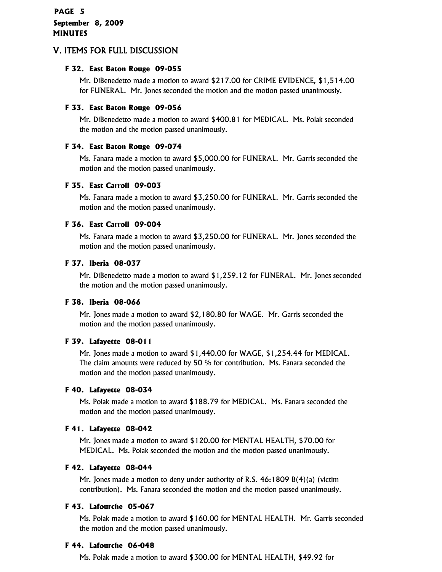## **PAGE 5 September 8, 2009 MINUTES**

## V. ITEMS FOR FULL DISCUSSION

## **F 32. East Baton Rouge 09-055**

Mr. DiBenedetto made a motion to award \$217.00 for CRIME EVIDENCE, \$1,514.00 for FUNERAL. Mr. Jones seconded the motion and the motion passed unanimously.

### **F 33. East Baton Rouge 09-056**

Mr. DiBenedetto made a motion to award \$400.81 for MEDICAL. Ms. Polak seconded the motion and the motion passed unanimously.

## **F 34. East Baton Rouge 09-074**

Ms. Fanara made a motion to award \$5,000.00 for FUNERAL. Mr. Garris seconded the motion and the motion passed unanimously.

#### **F 35. East Carroll 09-003**

Ms. Fanara made a motion to award \$3,250.00 for FUNERAL. Mr. Garris seconded the motion and the motion passed unanimously.

#### **F 36. East Carroll 09-004**

Ms. Fanara made a motion to award \$3,250.00 for FUNERAL. Mr. Jones seconded the motion and the motion passed unanimously.

#### **F 37. Iberia 08-037**

Mr. DiBenedetto made a motion to award \$1,259.12 for FUNERAL. Mr. Jones seconded the motion and the motion passed unanimously.

## **F 38. Iberia 08-066**

Mr. Jones made a motion to award \$2,180.80 for WAGE. Mr. Garris seconded the motion and the motion passed unanimously.

## **F 39. Lafayette 08-011**

Mr. Jones made a motion to award \$1,440.00 for WAGE, \$1,254.44 for MEDICAL. The claim amounts were reduced by 50 % for contribution. Ms. Fanara seconded the motion and the motion passed unanimously.

#### **F 40. Lafayette 08-034**

Ms. Polak made a motion to award \$188.79 for MEDICAL. Ms. Fanara seconded the motion and the motion passed unanimously.

## **F 41. Lafayette 08-042**

Mr. Jones made a motion to award \$120.00 for MENTAL HEALTH, \$70.00 for MEDICAL. Ms. Polak seconded the motion and the motion passed unanimously.

#### **F 42. Lafayette 08-044**

Mr. Jones made a motion to deny under authority of R.S. 46:1809 B(4)(a) (victim contribution). Ms. Fanara seconded the motion and the motion passed unanimously.

## **F 43. Lafourche 05-067**

Ms. Polak made a motion to award \$160.00 for MENTAL HEALTH. Mr. Garris seconded the motion and the motion passed unanimously.

#### **F 44. Lafourche 06-048**

Ms. Polak made a motion to award \$300.00 for MENTAL HEALTH, \$49.92 for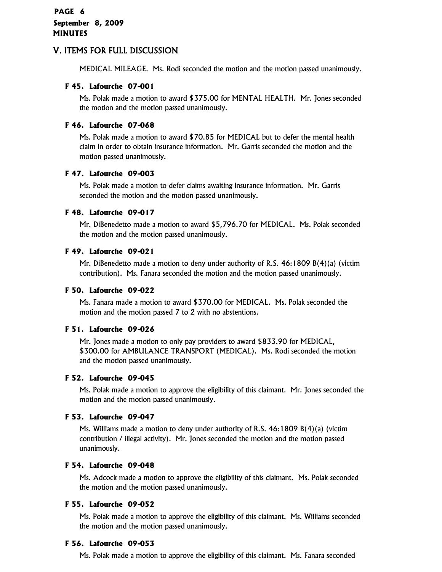## V. ITEMS FOR FULL DISCUSSION

MEDICAL MILEAGE. Ms. Rodi seconded the motion and the motion passed unanimously.

#### **F 45. Lafourche 07-001**

Ms. Polak made a motion to award \$375.00 for MENTAL HEALTH. Mr. Jones seconded the motion and the motion passed unanimously.

#### **F 46. Lafourche 07-068**

Ms. Polak made a motion to award \$70.85 for MEDICAL but to defer the mental health claim in order to obtain insurance information. Mr. Garris seconded the motion and the motion passed unanimously.

#### **F 47. Lafourche 09-003**

Ms. Polak made a motion to defer claims awaiting insurance information. Mr. Garris seconded the motion and the motion passed unanimously.

#### **F 48. Lafourche 09-017**

Mr. DiBenedetto made a motion to award \$5,796.70 for MEDICAL. Ms. Polak seconded the motion and the motion passed unanimously.

#### **F 49. Lafourche 09-021**

Mr. DiBenedetto made a motion to deny under authority of R.S. 46:1809 B(4)(a) (victim contribution). Ms. Fanara seconded the motion and the motion passed unanimously.

#### **F 50. Lafourche 09-022**

Ms. Fanara made a motion to award \$370.00 for MEDICAL. Ms. Polak seconded the motion and the motion passed 7 to 2 with no abstentions.

#### **F 51. Lafourche 09-026**

Mr. Jones made a motion to only pay providers to award \$833.90 for MEDICAL, \$300.00 for AMBULANCE TRANSPORT (MEDICAL). Ms. Rodi seconded the motion and the motion passed unanimously.

#### **F 52. Lafourche 09-045**

Ms. Polak made a motion to approve the eligibility of this claimant. Mr. Jones seconded the motion and the motion passed unanimously.

## **F 53. Lafourche 09-047**

Ms. Williams made a motion to deny under authority of R.S. 46:1809 B(4)(a) (victim contribution / illegal activity). Mr. Jones seconded the motion and the motion passed unanimously.

#### **F 54. Lafourche 09-048**

Ms. Adcock made a motion to approve the eligibility of this claimant. Ms. Polak seconded the motion and the motion passed unanimously.

## **F 55. Lafourche 09-052**

Ms. Polak made a motion to approve the eligibility of this claimant. Ms. Williams seconded the motion and the motion passed unanimously.

#### **F 56. Lafourche 09-053**

Ms. Polak made a motion to approve the eligibility of this claimant. Ms. Fanara seconded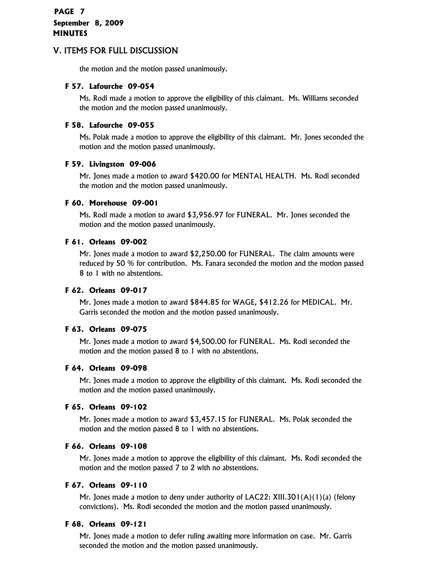## **PAGE 7 September 8, 2009 MINUTES**

## V. ITEMS FOR FULL DISCUSSION

the motion and the motion passed unanimously.

## **F 57. Lafourche 09-054**

Ms. Rodi made a motion to approve the eligibility of this claimant. Ms. Williams seconded the motion and the motion passed unanimously.

## **F 58. Lafourche 09-055**

Ms. Polak made a motion to approve the eligibility of this claimant. Mr. Jones seconded the motion and the motion passed unanimously.

## **F 59. Livingston 09-006**

Mr. Jones made a motion to award \$420.00 for MENTAL HEALTH. Ms. Rodi seconded the motion and the motion passed unanimously.

## **F 60. Morehouse 09-001**

Ms. Rodi made a motion to award \$3,956.97 for FUNERAL. Mr. Jones seconded the motion and the motion passed unanimously.

## **F 61. Orleans 09-002**

Mr. Jones made a motion to award \$2,250.00 for FUNERAL. The claim amounts were reduced by 50 % for contribution. Ms. Fanara seconded the motion and the motion passed 8 to 1 with no abstentions.

## **F 62. Orleans 09-017**

Mr. Jones made a motion to award \$844.85 for WAGE, \$412.26 for MEDICAL. Mr. Garris seconded the motion and the motion passed unanimously.

## **F 63. Orleans 09-075**

Mr. Jones made a motion to award \$4,500.00 for FUNERAL. Ms. Rodi seconded the motion and the motion passed 8 to 1 with no abstentions.

## **F 64. Orleans 09-098**

Mr. Jones made a motion to approve the eligibility of this claimant. Ms. Rodi seconded the motion and the motion passed unanimously.

## **F 65. Orleans 09-102**

Mr. Jones made a motion to award \$3,457.15 for FUNERAL. Ms. Polak seconded the motion and the motion passed 8 to 1 with no abstentions.

## **F 66. Orleans 09-108**

Mr. Jones made a motion to approve the eligibility of this claimant. Ms. Rodi seconded the motion and the motion passed 7 to 2 with no abstentions.

## **F 67. Orleans 09-110**

Mr. Jones made a motion to deny under authority of LAC22: XIII.301(A)(1)(a) (felony convictions). Ms. Rodi seconded the motion and the motion passed unanimously.

## **F 68. Orleans 09-121**

Mr. Jones made a motion to defer ruling awaiting more information on case. Mr. Garris seconded the motion and the motion passed unanimously.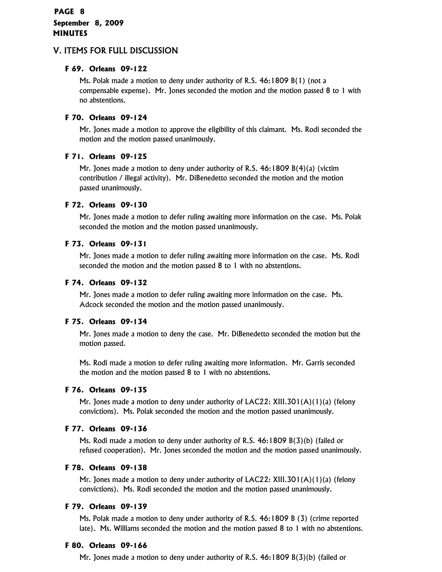## **PAGE 8 September 8, 2009 MINUTES**

## V. ITEMS FOR FULL DISCUSSION

## **F 69. Orleans 09-122**

Ms. Polak made a motion to deny under authority of R.S. 46:1809 B(1) (not a compensable expense). Mr. Jones seconded the motion and the motion passed 8 to 1 with no abstentions.

## **F 70. Orleans 09-124**

Mr. Jones made a motion to approve the eligibility of this claimant. Ms. Rodi seconded the motion and the motion passed unanimously.

## **F 71. Orleans 09-125**

Mr. Jones made a motion to deny under authority of R.S. 46:1809 B(4)(a) (victim contribution / illegal activity). Mr. DiBenedetto seconded the motion and the motion passed unanimously.

## **F 72. Orleans 09-130**

Mr. Jones made a motion to defer ruling awaiting more information on the case. Ms. Polak seconded the motion and the motion passed unanimously.

## **F 73. Orleans 09-131**

Mr. Jones made a motion to defer ruling awaiting more information on the case. Ms. Rodi seconded the motion and the motion passed 8 to 1 with no abstentions.

## **F 74. Orleans 09-132**

Mr. Jones made a motion to defer ruling awaiting more information on the case. Ms. Adcock seconded the motion and the motion passed unanimously.

## **F 75. Orleans 09-134**

Mr. Jones made a motion to deny the case. Mr. DiBenedetto seconded the motion but the motion passed.

Ms. Rodi made a motion to defer ruling awaiting more information. Mr. Garris seconded the motion and the motion passed 8 to 1 with no abstentions.

## **F 76. Orleans 09-135**

Mr. Jones made a motion to deny under authority of  $LAC22$ : XIII.301(A)(1)(a) (felony convictions). Ms. Polak seconded the motion and the motion passed unanimously.

## **F 77. Orleans 09-136**

Ms. Rodi made a motion to deny under authority of R.S. 46:1809 B(3)(b) (failed or refused cooperation). Mr. Jones seconded the motion and the motion passed unanimously.

## **F 78. Orleans 09-138**

Mr. Jones made a motion to deny under authority of LAC22: XIII.301(A)(1)(a) (felony convictions). Ms. Rodi seconded the motion and the motion passed unanimously.

## **F 79. Orleans 09-139**

Ms. Polak made a motion to deny under authority of R.S. 46:1809 B (3) (crime reported late). Ms. Williams seconded the motion and the motion passed 8 to 1 with no abstentions.

## **F 80. Orleans 09-166**

Mr. Jones made a motion to deny under authority of R.S. 46:1809 B(3)(b) (failed or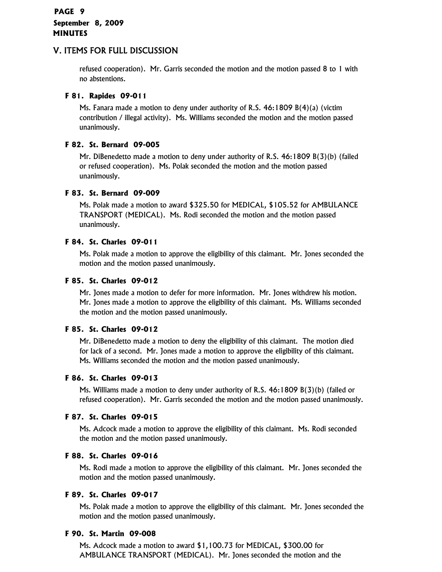## V. ITEMS FOR FULL DISCUSSION

refused cooperation). Mr. Garris seconded the motion and the motion passed 8 to 1 with no abstentions.

## **F 81. Rapides 09-011**

Ms. Fanara made a motion to deny under authority of R.S. 46:1809 B(4)(a) (victim contribution / illegal activity). Ms. Williams seconded the motion and the motion passed unanimously.

## **F 82. St. Bernard 09-005**

Mr. DiBenedetto made a motion to deny under authority of R.S. 46:1809 B(3)(b) (failed or refused cooperation). Ms. Polak seconded the motion and the motion passed unanimously.

## **F 83. St. Bernard 09-009**

Ms. Polak made a motion to award \$325.50 for MEDICAL, \$105.52 for AMBULANCE TRANSPORT (MEDICAL). Ms. Rodi seconded the motion and the motion passed unanimously.

## **F 84. St. Charles 09-011**

Ms. Polak made a motion to approve the eligibility of this claimant. Mr. Jones seconded the motion and the motion passed unanimously.

## **F 85. St. Charles 09-012**

Mr. Jones made a motion to defer for more information. Mr. Jones withdrew his motion. Mr. Jones made a motion to approve the eligibility of this claimant. Ms. Williams seconded the motion and the motion passed unanimously.

## **F 85. St. Charles 09-012**

Mr. DiBenedetto made a motion to deny the eligibility of this claimant. The motion died for lack of a second. Mr. Jones made a motion to approve the eligibility of this claimant. Ms. Williams seconded the motion and the motion passed unanimously.

## **F 86. St. Charles 09-013**

Ms. Williams made a motion to deny under authority of R.S. 46:1809 B(3)(b) (failed or refused cooperation). Mr. Garris seconded the motion and the motion passed unanimously.

## **F 87. St. Charles 09-015**

Ms. Adcock made a motion to approve the eligibility of this claimant. Ms. Rodi seconded the motion and the motion passed unanimously.

## **F 88. St. Charles 09-016**

Ms. Rodi made a motion to approve the eligibility of this claimant. Mr. Jones seconded the motion and the motion passed unanimously.

## **F 89. St. Charles 09-017**

Ms. Polak made a motion to approve the eligibility of this claimant. Mr. Jones seconded the motion and the motion passed unanimously.

## **F 90. St. Martin 09-008**

Ms. Adcock made a motion to award \$1,100.73 for MEDICAL, \$300.00 for AMBULANCE TRANSPORT (MEDICAL). Mr. Jones seconded the motion and the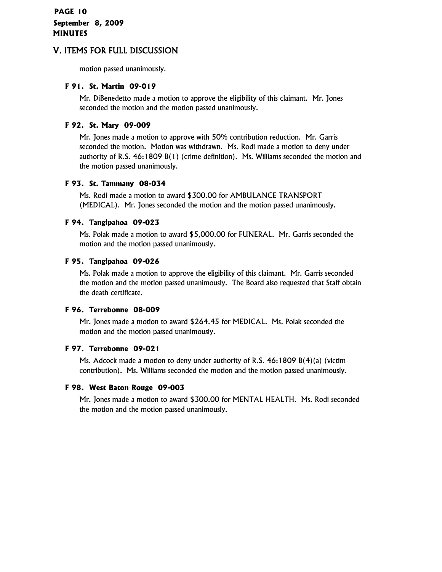## **PAGE 10 September 8, 2009 MINUTES**

## V. ITEMS FOR FULL DISCUSSION

motion passed unanimously.

#### **F 91. St. Martin 09-019**

Mr. DiBenedetto made a motion to approve the eligibility of this claimant. Mr. Jones seconded the motion and the motion passed unanimously.

## **F 92. St. Mary 09-009**

Mr. Jones made a motion to approve with 50% contribution reduction. Mr. Garris seconded the motion. Motion was withdrawn. Ms. Rodi made a motion to deny under authority of R.S. 46:1809 B(1) (crime definition). Ms. Williams seconded the motion and the motion passed unanimously.

#### **F 93. St. Tammany 08-034**

Ms. Rodi made a motion to award \$300.00 for AMBULANCE TRANSPORT (MEDICAL). Mr. Jones seconded the motion and the motion passed unanimously.

## **F 94. Tangipahoa 09-023**

Ms. Polak made a motion to award \$5,000.00 for FUNERAL. Mr. Garris seconded the motion and the motion passed unanimously.

#### **F 95. Tangipahoa 09-026**

Ms. Polak made a motion to approve the eligibility of this claimant. Mr. Garris seconded the motion and the motion passed unanimously. The Board also requested that Staff obtain the death certificate.

## **F 96. Terrebonne 08-009**

Mr. Jones made a motion to award \$264.45 for MEDICAL. Ms. Polak seconded the motion and the motion passed unanimously.

## **F 97. Terrebonne 09-021**

Ms. Adcock made a motion to deny under authority of R.S. 46:1809 B(4)(a) (victim contribution). Ms. Williams seconded the motion and the motion passed unanimously.

## **F 98. West Baton Rouge 09-003**

Mr. Jones made a motion to award \$300.00 for MENTAL HEALTH. Ms. Rodi seconded the motion and the motion passed unanimously.